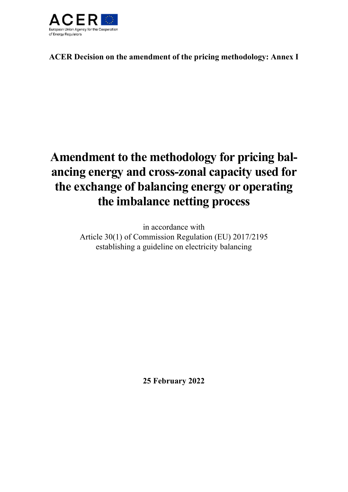

**ACER Decision on the amendment of the pricing methodology: Annex I** 

# **Amendment to the methodology for pricing balancing energy and cross-zonal capacity used for the exchange of balancing energy or operating the imbalance netting process**

in accordance with Article 30(1) of Commission Regulation (EU) 2017/2195 establishing a guideline on electricity balancing

**25 February 2022**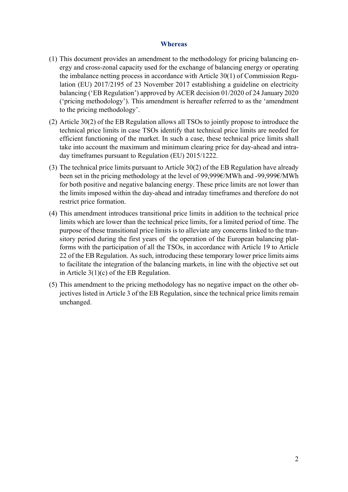#### **Whereas**

- (1) This document provides an amendment to the methodology for pricing balancing energy and cross-zonal capacity used for the exchange of balancing energy or operating the imbalance netting process in accordance with Article 30(1) of Commission Regulation (EU) 2017/2195 of 23 November 2017 establishing a guideline on electricity balancing ('EB Regulation') approved by ACER decision 01/2020 of 24 January 2020 ('pricing methodology'). This amendment is hereafter referred to as the 'amendment to the pricing methodology'.
- (2) Article 30(2) of the EB Regulation allows all TSOs to jointly propose to introduce the technical price limits in case TSOs identify that technical price limits are needed for efficient functioning of the market. In such a case, these technical price limits shall take into account the maximum and minimum clearing price for day-ahead and intraday timeframes pursuant to Regulation (EU) 2015/1222.
- (3) The technical price limits pursuant to Article 30(2) of the EB Regulation have already been set in the pricing methodology at the level of 99,999€/MWh and -99,999€/MWh for both positive and negative balancing energy. These price limits are not lower than the limits imposed within the day-ahead and intraday timeframes and therefore do not restrict price formation.
- (4) This amendment introduces transitional price limits in addition to the technical price limits which are lower than the technical price limits, for a limited period of time. The purpose of these transitional price limits is to alleviate any concerns linked to the transitory period during the first years of the operation of the European balancing platforms with the participation of all the TSOs, in accordance with Article 19 to Article 22 of the EB Regulation. As such, introducing these temporary lower price limits aims to facilitate the integration of the balancing markets, in line with the objective set out in Article 3(1)(c) of the EB Regulation.
- (5) This amendment to the pricing methodology has no negative impact on the other objectives listed in Article 3 of the EB Regulation, since the technical price limits remain unchanged.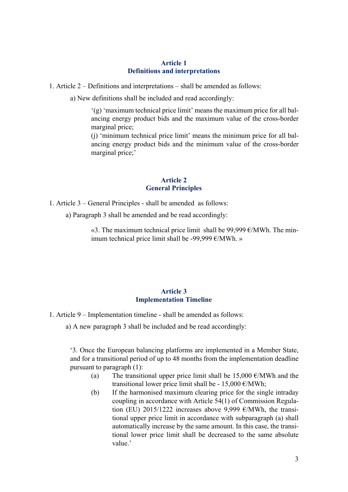## **Article 1 Definitions and interpretations**

1. Article 2 – Definitions and interpretations – shall be amended as follows:

a) New definitions shall be included and read accordingly:

'(g) 'maximum technical price limit' means the maximum price for all balancing energy product bids and the maximum value of the cross-border marginal price;

(j) 'minimum technical price limit' means the minimum price for all balancing energy product bids and the minimum value of the cross-border marginal price;'

## **Article 2 General Principles**

1. Article 3 – General Principles - shall be amended as follows:

a) Paragraph 3 shall be amended and be read accordingly:

«3. The maximum technical price limit shall be 99,999  $\epsilon$ /MWh. The minimum technical price limit shall be -99,999 €/MWh. »

#### **Article 3 Implementation Timeline**

1. Article 9 – Implementation timeline - shall be amended as follows:

a) A new paragraph 3 shall be included and be read accordingly:

'3. Once the European balancing platforms are implemented in a Member State, and for a transitional period of up to 48 months from the implementation deadline pursuant to paragraph (1):

- (a) The transitional upper price limit shall be 15,000  $\epsilon$ /MWh and the transitional lower price limit shall be - 15,000  $\epsilon$ /MWh;
- (b) If the harmonised maximum clearing price for the single intraday coupling in accordance with Article 54(1) of Commission Regulation (EU) 2015/1222 increases above 9,999  $\epsilon$ /MWh, the transitional upper price limit in accordance with subparagraph (a) shall automatically increase by the same amount. In this case, the transitional lower price limit shall be decreased to the same absolute value.'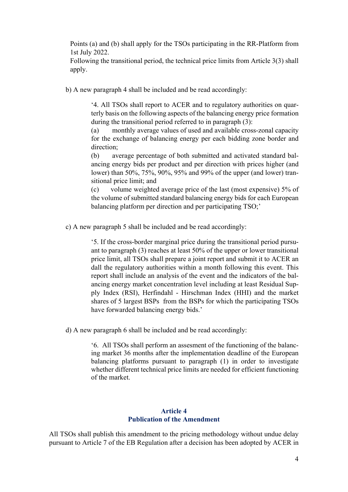Points (a) and (b) shall apply for the TSOs participating in the RR-Platform from 1st July 2022.

Following the transitional period, the technical price limits from Article 3(3) shall apply.

b) A new paragraph 4 shall be included and be read accordingly:

'4. All TSOs shall report to ACER and to regulatory authorities on quarterly basis on the following aspects of the balancing energy price formation during the transitional period referred to in paragraph (3):

(a) monthly average values of used and available cross-zonal capacity for the exchange of balancing energy per each bidding zone border and direction;

(b) average percentage of both submitted and activated standard balancing energy bids per product and per direction with prices higher (and lower) than 50%, 75%, 90%, 95% and 99% of the upper (and lower) transitional price limit; and

(c) volume weighted average price of the last (most expensive) 5% of the volume of submitted standard balancing energy bids for each European balancing platform per direction and per participating TSO;'

c) A new paragraph 5 shall be included and be read accordingly:

'5. If the cross-border marginal price during the transitional period pursuant to paragraph (3) reaches at least 50% of the upper or lower transitional price limit, all TSOs shall prepare a joint report and submit it to ACER an dall the regulatory authorities within a month following this event. This report shall include an analysis of the event and the indicators of the balancing energy market concentration level including at least Residual Supply Index (RSI), Herfindahl - Hirschman Index (HHI) and the market shares of 5 largest BSPs from the BSPs for which the participating TSOs have forwarded balancing energy bids.'

d) A new paragraph 6 shall be included and be read accordingly:

'6. All TSOs shall perform an assesment of the functioning of the balancing market 36 months after the implementation deadline of the European balancing platforms pursuant to paragraph (1) in order to investigate whether different technical price limits are needed for efficient functioning of the market.

## **Article 4 Publication of the Amendment**

All TSOs shall publish this amendment to the pricing methodology without undue delay pursuant to Article 7 of the EB Regulation after a decision has been adopted by ACER in